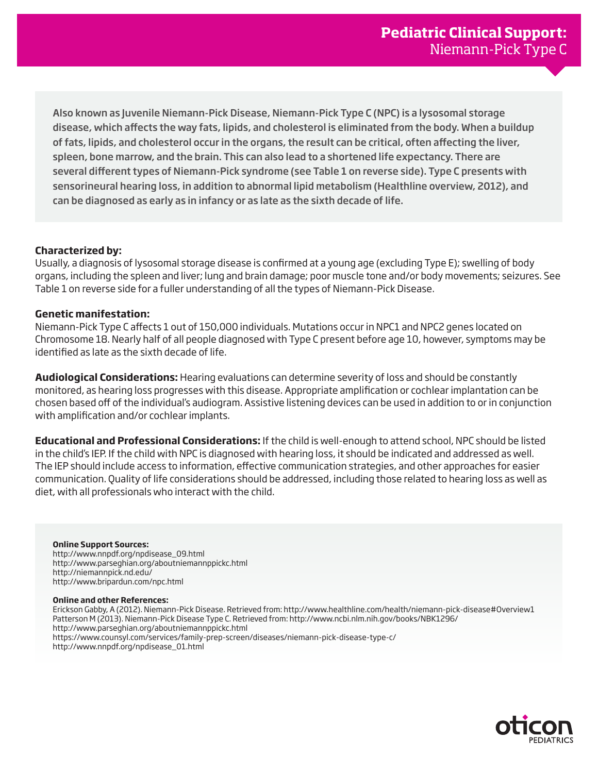Also known as Juvenile Niemann-Pick Disease, Niemann-Pick Type C (NPC) is a lysosomal storage disease, which affects the way fats, lipids, and cholesterol is eliminated from the body. When a buildup of fats, lipids, and cholesterol occur in the organs, the result can be critical, often affecting the liver, spleen, bone marrow, and the brain. This can also lead to a shortened life expectancy. There are several different types of Niemann-Pick syndrome (see Table 1 on reverse side). Type C presents with sensorineural hearing loss, in addition to abnormal lipid metabolism (Healthline overview, 2012), and can be diagnosed as early as in infancy or as late as the sixth decade of life.

## **Characterized by:**

Usually, a diagnosis of lysosomal storage disease is confirmed at a young age (excluding Type E); swelling of body organs, including the spleen and liver; lung and brain damage; poor muscle tone and/or body movements; seizures. See Table 1 on reverse side for a fuller understanding of all the types of Niemann-Pick Disease.

## **Genetic manifestation:**

Niemann-Pick Type C affects 1 out of 150,000 individuals. Mutations occur in NPC1 and NPC2 genes located on Chromosome 18. Nearly half of all people diagnosed with Type C present before age 10, however, symptoms may be identified as late as the sixth decade of life.

**Audiological Considerations:** Hearing evaluations can determine severity of loss and should be constantly monitored, as hearing loss progresses with this disease. Appropriate amplification or cochlear implantation can be chosen based off of the individual's audiogram. Assistive listening devices can be used in addition to or in conjunction with amplification and/or cochlear implants.

**Educational and Professional Considerations:** If the child is well-enough to attend school, NPC should be listed in the child's IEP. If the child with NPC is diagnosed with hearing loss, it should be indicated and addressed as well. The IEP should include access to information, effective communication strategies, and other approaches for easier communication. Quality of life considerations should be addressed, including those related to hearing loss as well as diet, with all professionals who interact with the child.

## **Online Support Sources:**

http://www.nnpdf.org/npdisease\_09.html http://www.parseghian.org/aboutniemannppickc.html http://niemannpick.nd.edu/ http://www.bripardun.com/npc.html

## **Online and other References:**

Erickson Gabby, A (2012). Niemann-Pick Disease. Retrieved from: http://www.healthline.com/health/niemann-pick-disease#Overview1 Patterson M (2013). Niemann-Pick Disease Type C. Retrieved from: http://www.ncbi.nlm.nih.gov/books/NBK1296/ http://www.parseghian.org/aboutniemannppickc.html https://www.counsyl.com/services/family-prep-screen/diseases/niemann-pick-disease-type-c/ http://www.nnpdf.org/npdisease\_01.html